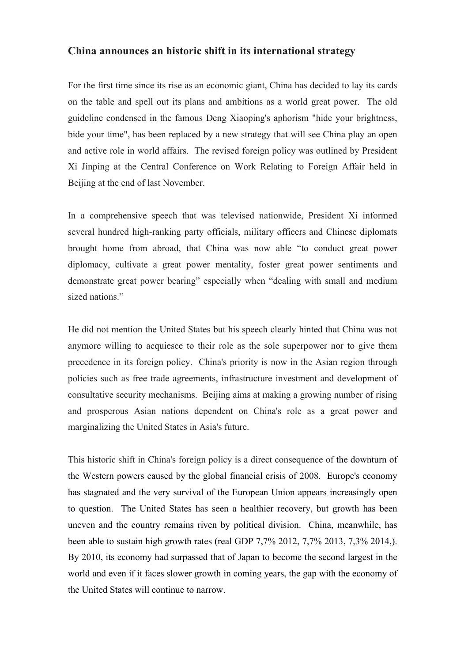## **China announces an historic shift in its international strategy**

For the first time since its rise as an economic giant, China has decided to lay its cards on the table and spell out its plans and ambitions as a world great power. The old guideline condensed in the famous Deng Xiaoping's aphorism "hide your brightness, bide your time", has been replaced by a new strategy that will see China play an open and active role in world affairs. The revised foreign policy was outlined by President Xi Jinping at the Central Conference on Work Relating to Foreign Affair held in Beijing at the end of last November.

In a comprehensive speech that was televised nationwide, President Xi informed several hundred high-ranking party officials, military officers and Chinese diplomats brought home from abroad, that China was now able "to conduct great power diplomacy, cultivate a great power mentality, foster great power sentiments and demonstrate great power bearing" especially when "dealing with small and medium sized nations."

He did not mention the United States but his speech clearly hinted that China was not anymore willing to acquiesce to their role as the sole superpower nor to give them precedence in its foreign policy. China's priority is now in the Asian region through policies such as free trade agreements, infrastructure investment and development of consultative security mechanisms. Beijing aims at making a growing number of rising and prosperous Asian nations dependent on China's role as a great power and marginalizing the United States in Asia's future.

This historic shift in China's foreign policy is a direct consequence of the downturn of the Western powers caused by the global financial crisis of 2008. Europe's economy has stagnated and the very survival of the European Union appears increasingly open to question. The United States has seen a healthier recovery, but growth has been uneven and the country remains riven by political division. China, meanwhile, has been able to sustain high growth rates (real GDP 7,7% 2012, 7,7% 2013, 7,3% 2014,). By 2010, its economy had surpassed that of Japan to become the second largest in the world and even if it faces slower growth in coming years, the gap with the economy of the United States will continue to narrow.